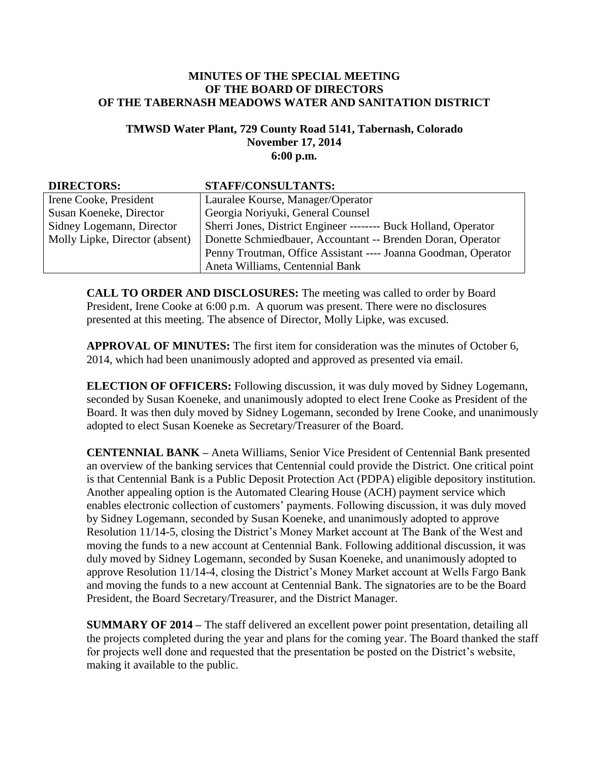## **MINUTES OF THE SPECIAL MEETING OF THE BOARD OF DIRECTORS OF THE TABERNASH MEADOWS WATER AND SANITATION DISTRICT**

## **TMWSD Water Plant, 729 County Road 5141, Tabernash, Colorado November 17, 2014 6:00 p.m.**

| <b>DIRECTORS:</b>              | <b>STAFF/CONSULTANTS:</b>                                       |
|--------------------------------|-----------------------------------------------------------------|
| Irene Cooke, President         | Lauralee Kourse, Manager/Operator                               |
| Susan Koeneke, Director        | Georgia Noriyuki, General Counsel                               |
| Sidney Logemann, Director      | Sherri Jones, District Engineer -------- Buck Holland, Operator |
| Molly Lipke, Director (absent) | Donette Schmiedbauer, Accountant -- Brenden Doran, Operator     |
|                                | Penny Troutman, Office Assistant ---- Joanna Goodman, Operator  |
|                                | Aneta Williams, Centennial Bank                                 |

**CALL TO ORDER AND DISCLOSURES:** The meeting was called to order by Board President, Irene Cooke at 6:00 p.m. A quorum was present. There were no disclosures presented at this meeting. The absence of Director, Molly Lipke, was excused.

**APPROVAL OF MINUTES:** The first item for consideration was the minutes of October 6, 2014, which had been unanimously adopted and approved as presented via email.

**ELECTION OF OFFICERS:** Following discussion, it was duly moved by Sidney Logemann, seconded by Susan Koeneke, and unanimously adopted to elect Irene Cooke as President of the Board. It was then duly moved by Sidney Logemann, seconded by Irene Cooke, and unanimously adopted to elect Susan Koeneke as Secretary/Treasurer of the Board.

**CENTENNIAL BANK –** Aneta Williams, Senior Vice President of Centennial Bank presented an overview of the banking services that Centennial could provide the District. One critical point is that Centennial Bank is a Public Deposit Protection Act (PDPA) eligible depository institution. Another appealing option is the Automated Clearing House (ACH) payment service which enables electronic collection of customers' payments. Following discussion, it was duly moved by Sidney Logemann, seconded by Susan Koeneke, and unanimously adopted to approve Resolution 11/14-5, closing the District's Money Market account at The Bank of the West and moving the funds to a new account at Centennial Bank. Following additional discussion, it was duly moved by Sidney Logemann, seconded by Susan Koeneke, and unanimously adopted to approve Resolution 11/14-4, closing the District's Money Market account at Wells Fargo Bank and moving the funds to a new account at Centennial Bank. The signatories are to be the Board President, the Board Secretary/Treasurer, and the District Manager.

**SUMMARY OF 2014 –** The staff delivered an excellent power point presentation, detailing all the projects completed during the year and plans for the coming year. The Board thanked the staff for projects well done and requested that the presentation be posted on the District's website, making it available to the public.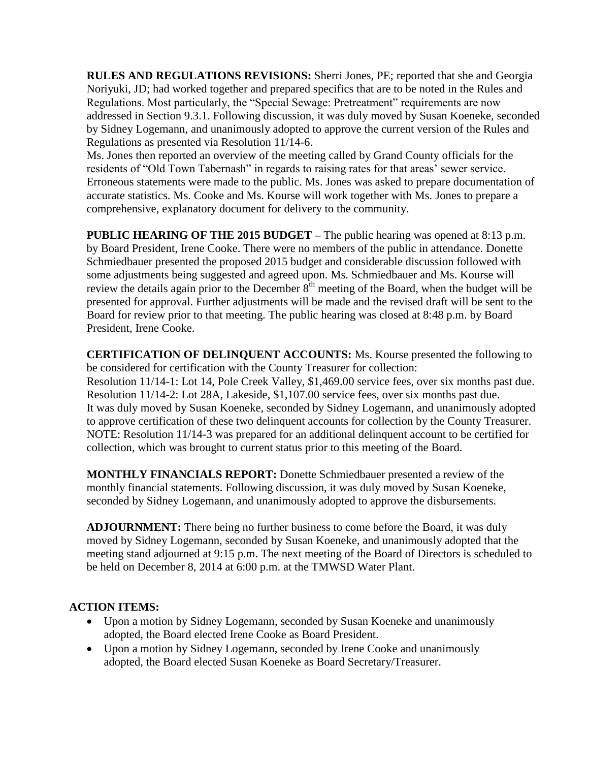**RULES AND REGULATIONS REVISIONS:** Sherri Jones, PE; reported that she and Georgia Noriyuki, JD; had worked together and prepared specifics that are to be noted in the Rules and Regulations. Most particularly, the "Special Sewage: Pretreatment" requirements are now addressed in Section 9.3.1. Following discussion, it was duly moved by Susan Koeneke, seconded by Sidney Logemann, and unanimously adopted to approve the current version of the Rules and Regulations as presented via Resolution 11/14-6.

Ms. Jones then reported an overview of the meeting called by Grand County officials for the residents of "Old Town Tabernash" in regards to raising rates for that areas' sewer service. Erroneous statements were made to the public. Ms. Jones was asked to prepare documentation of accurate statistics. Ms. Cooke and Ms. Kourse will work together with Ms. Jones to prepare a comprehensive, explanatory document for delivery to the community.

**PUBLIC HEARING OF THE 2015 BUDGET –** The public hearing was opened at 8:13 p.m. by Board President, Irene Cooke. There were no members of the public in attendance. Donette Schmiedbauer presented the proposed 2015 budget and considerable discussion followed with some adjustments being suggested and agreed upon. Ms. Schmiedbauer and Ms. Kourse will review the details again prior to the December  $8<sup>th</sup>$  meeting of the Board, when the budget will be presented for approval. Further adjustments will be made and the revised draft will be sent to the Board for review prior to that meeting. The public hearing was closed at 8:48 p.m. by Board President, Irene Cooke.

**CERTIFICATION OF DELINQUENT ACCOUNTS:** Ms. Kourse presented the following to be considered for certification with the County Treasurer for collection:

Resolution 11/14-1: Lot 14, Pole Creek Valley, \$1,469.00 service fees, over six months past due. Resolution 11/14-2: Lot 28A, Lakeside, \$1,107.00 service fees, over six months past due. It was duly moved by Susan Koeneke, seconded by Sidney Logemann, and unanimously adopted to approve certification of these two delinquent accounts for collection by the County Treasurer. NOTE: Resolution 11/14-3 was prepared for an additional delinquent account to be certified for collection, which was brought to current status prior to this meeting of the Board.

**MONTHLY FINANCIALS REPORT:** Donette Schmiedbauer presented a review of the monthly financial statements. Following discussion, it was duly moved by Susan Koeneke, seconded by Sidney Logemann, and unanimously adopted to approve the disbursements.

**ADJOURNMENT:** There being no further business to come before the Board, it was duly moved by Sidney Logemann, seconded by Susan Koeneke, and unanimously adopted that the meeting stand adjourned at 9:15 p.m. The next meeting of the Board of Directors is scheduled to be held on December 8, 2014 at 6:00 p.m. at the TMWSD Water Plant.

## **ACTION ITEMS:**

- Upon a motion by Sidney Logemann, seconded by Susan Koeneke and unanimously adopted, the Board elected Irene Cooke as Board President.
- Upon a motion by Sidney Logemann, seconded by Irene Cooke and unanimously adopted, the Board elected Susan Koeneke as Board Secretary/Treasurer.